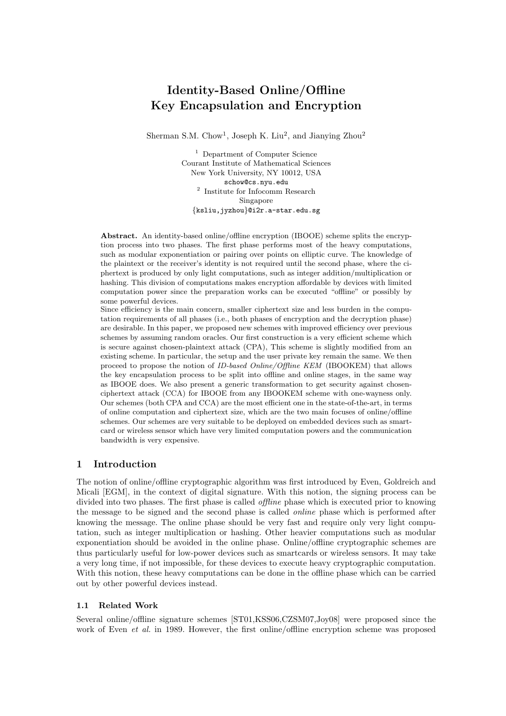# Identity-Based Online/Offline Key Encapsulation and Encryption

Sherman S.M. Chow<sup>1</sup>, Joseph K. Liu<sup>2</sup>, and Jianying Zhou<sup>2</sup>

<sup>1</sup> Department of Computer Science Courant Institute of Mathematical Sciences New York University, NY 10012, USA schow@cs.nyu.edu 2 Institute for Infocomm Research Singapore {ksliu,jyzhou}@i2r.a-star.edu.sg

Abstract. An identity-based online/offline encryption (IBOOE) scheme splits the encryption process into two phases. The first phase performs most of the heavy computations, such as modular exponentiation or pairing over points on elliptic curve. The knowledge of the plaintext or the receiver's identity is not required until the second phase, where the ciphertext is produced by only light computations, such as integer addition/multiplication or hashing. This division of computations makes encryption affordable by devices with limited computation power since the preparation works can be executed "offline" or possibly by some powerful devices.

Since efficiency is the main concern, smaller ciphertext size and less burden in the computation requirements of all phases (i.e., both phases of encryption and the decryption phase) are desirable. In this paper, we proposed new schemes with improved efficiency over previous schemes by assuming random oracles. Our first construction is a very efficient scheme which is secure against chosen-plaintext attack (CPA), This scheme is slightly modified from an existing scheme. In particular, the setup and the user private key remain the same. We then proceed to propose the notion of ID-based Online/Offline KEM (IBOOKEM) that allows the key encapsulation process to be split into offline and online stages, in the same way as IBOOE does. We also present a generic transformation to get security against chosenciphertext attack (CCA) for IBOOE from any IBOOKEM scheme with one-wayness only. Our schemes (both CPA and CCA) are the most efficient one in the state-of-the-art, in terms of online computation and ciphertext size, which are the two main focuses of online/offline schemes. Our schemes are very suitable to be deployed on embedded devices such as smartcard or wireless sensor which have very limited computation powers and the communication bandwidth is very expensive.

## 1 Introduction

The notion of online/offline cryptographic algorithm was first introduced by Even, Goldreich and Micali [EGM], in the context of digital signature. With this notion, the signing process can be divided into two phases. The first phase is called *offline* phase which is executed prior to knowing the message to be signed and the second phase is called online phase which is performed after knowing the message. The online phase should be very fast and require only very light computation, such as integer multiplication or hashing. Other heavier computations such as modular exponentiation should be avoided in the online phase. Online/offline cryptographic schemes are thus particularly useful for low-power devices such as smartcards or wireless sensors. It may take a very long time, if not impossible, for these devices to execute heavy cryptographic computation. With this notion, these heavy computations can be done in the offline phase which can be carried out by other powerful devices instead.

## 1.1 Related Work

Several online/offline signature schemes [ST01,KSS06,CZSM07,Joy08] were proposed since the work of Even *et al.* in 1989. However, the first online/offline encryption scheme was proposed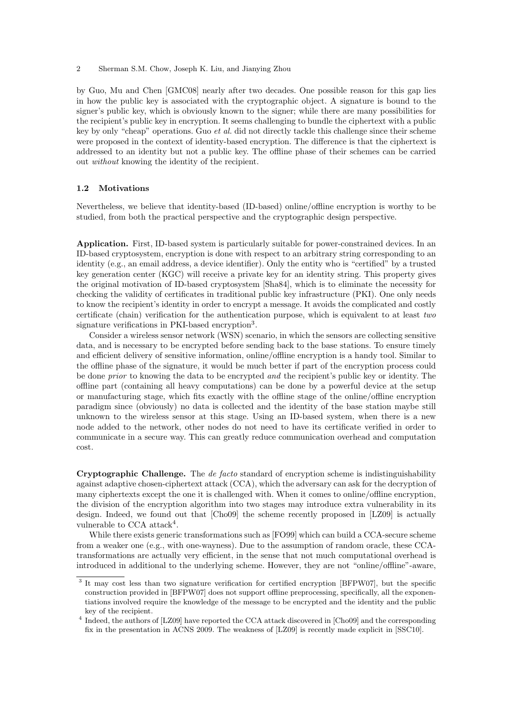by Guo, Mu and Chen [GMC08] nearly after two decades. One possible reason for this gap lies in how the public key is associated with the cryptographic object. A signature is bound to the signer's public key, which is obviously known to the signer; while there are many possibilities for the recipient's public key in encryption. It seems challenging to bundle the ciphertext with a public key by only "cheap" operations. Guo *et al.* did not directly tackle this challenge since their scheme were proposed in the context of identity-based encryption. The difference is that the ciphertext is addressed to an identity but not a public key. The offline phase of their schemes can be carried out without knowing the identity of the recipient.

#### 1.2 Motivations

Nevertheless, we believe that identity-based (ID-based) online/offline encryption is worthy to be studied, from both the practical perspective and the cryptographic design perspective.

Application. First, ID-based system is particularly suitable for power-constrained devices. In an ID-based cryptosystem, encryption is done with respect to an arbitrary string corresponding to an identity (e.g., an email address, a device identifier). Only the entity who is "certified" by a trusted key generation center (KGC) will receive a private key for an identity string. This property gives the original motivation of ID-based cryptosystem [Sha84], which is to eliminate the necessity for checking the validity of certificates in traditional public key infrastructure (PKI). One only needs to know the recipient's identity in order to encrypt a message. It avoids the complicated and costly certificate (chain) verification for the authentication purpose, which is equivalent to at least two signature verifications in PKI-based encryption<sup>3</sup>.

Consider a wireless sensor network (WSN) scenario, in which the sensors are collecting sensitive data, and is necessary to be encrypted before sending back to the base stations. To ensure timely and efficient delivery of sensitive information, online/offline encryption is a handy tool. Similar to the offline phase of the signature, it would be much better if part of the encryption process could be done prior to knowing the data to be encrypted and the recipient's public key or identity. The offline part (containing all heavy computations) can be done by a powerful device at the setup or manufacturing stage, which fits exactly with the offline stage of the online/offline encryption paradigm since (obviously) no data is collected and the identity of the base station maybe still unknown to the wireless sensor at this stage. Using an ID-based system, when there is a new node added to the network, other nodes do not need to have its certificate verified in order to communicate in a secure way. This can greatly reduce communication overhead and computation cost.

Cryptographic Challenge. The de facto standard of encryption scheme is indistinguishability against adaptive chosen-ciphertext attack (CCA), which the adversary can ask for the decryption of many ciphertexts except the one it is challenged with. When it comes to online/offline encryption, the division of the encryption algorithm into two stages may introduce extra vulnerability in its design. Indeed, we found out that [Cho09] the scheme recently proposed in [LZ09] is actually vulnerable to CCA attack<sup>4</sup>.

While there exists generic transformations such as [FO99] which can build a CCA-secure scheme from a weaker one (e.g., with one-wayness). Due to the assumption of random oracle, these CCAtransformations are actually very efficient, in the sense that not much computational overhead is introduced in additional to the underlying scheme. However, they are not "online/offline"-aware,

<sup>&</sup>lt;sup>3</sup> It may cost less than two signature verification for certified encryption [BFPW07], but the specific construction provided in [BFPW07] does not support offline preprocessing, specifically, all the exponentiations involved require the knowledge of the message to be encrypted and the identity and the public key of the recipient.

<sup>&</sup>lt;sup>4</sup> Indeed, the authors of [LZ09] have reported the CCA attack discovered in [Cho09] and the corresponding fix in the presentation in ACNS 2009. The weakness of [LZ09] is recently made explicit in [SSC10].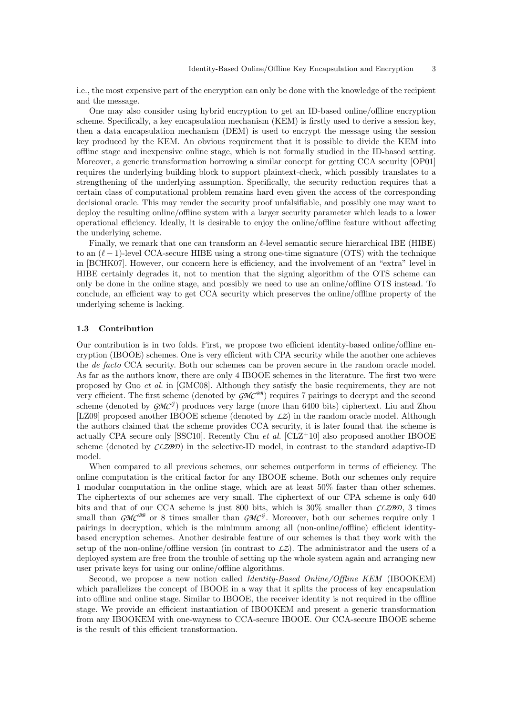i.e., the most expensive part of the encryption can only be done with the knowledge of the recipient and the message.

One may also consider using hybrid encryption to get an ID-based online/offline encryption scheme. Specifically, a key encapsulation mechanism (KEM) is firstly used to derive a session key, then a data encapsulation mechanism (DEM) is used to encrypt the message using the session key produced by the KEM. An obvious requirement that it is possible to divide the KEM into offline stage and inexpensive online stage, which is not formally studied in the ID-based setting. Moreover, a generic transformation borrowing a similar concept for getting CCA security [OP01] requires the underlying building block to support plaintext-check, which possibly translates to a strengthening of the underlying assumption. Specifically, the security reduction requires that a certain class of computational problem remains hard even given the access of the corresponding decisional oracle. This may render the security proof unfalsifiable, and possibly one may want to deploy the resulting online/offline system with a larger security parameter which leads to a lower operational efficiency. Ideally, it is desirable to enjoy the online/offline feature without affecting the underlying scheme.

Finally, we remark that one can transform an  $\ell$ -level semantic secure hierarchical IBE (HIBE) to an  $(\ell - 1)$ -level CCA-secure HIBE using a strong one-time signature (OTS) with the technique in [BCHK07]. However, our concern here is efficiency, and the involvement of an "extra" level in HIBE certainly degrades it, not to mention that the signing algorithm of the OTS scheme can only be done in the online stage, and possibly we need to use an online/offline OTS instead. To conclude, an efficient way to get CCA security which preserves the online/offline property of the underlying scheme is lacking.

#### 1.3 Contribution

Our contribution is in two folds. First, we propose two efficient identity-based online/offline encryption (IBOOE) schemes. One is very efficient with CPA security while the another one achieves the de facto CCA security. Both our schemes can be proven secure in the random oracle model. As far as the authors know, there are only 4 IBOOE schemes in the literature. The first two were proposed by Guo et al. in [GMC08]. Although they satisfy the basic requirements, they are not very efficient. The first scheme (denoted by  $\widehat{GMC}^{BB}$ ) requires 7 pairings to decrypt and the second scheme (denoted by  $\mathcal{GMC}^{\mathcal{G}}$ ) produces very large (more than 6400 bits) ciphertext. Liu and Zhou [LZ09] proposed another IBOOE scheme (denoted by *LZ*) in the random oracle model. Although the authors claimed that the scheme provides CCA security, it is later found that the scheme is actually CPA secure only [SSC10]. Recently Chu *et al.*  $[CLZ+10]$  also proposed another IBOOE scheme (denoted by *CLZBD*) in the selective-ID model, in contrast to the standard adaptive-ID model.

When compared to all previous schemes, our schemes outperform in terms of efficiency. The online computation is the critical factor for any IBOOE scheme. Both our schemes only require 1 modular computation in the online stage, which are at least 50% faster than other schemes. The ciphertexts of our schemes are very small. The ciphertext of our CPA scheme is only 640 bits and that of our CCA scheme is just 800 bits, which is 30% smaller than *CLZBD*, 3 times small than  $\mathcal{GMC}^{BB}$  or 8 times smaller than  $\mathcal{GMC}^{\mathcal{G}}$ . Moreover, both our schemes require only 1 pairings in decryption, which is the minimum among all (non-online/offline) efficient identitybased encryption schemes. Another desirable feature of our schemes is that they work with the setup of the non-online/offline version (in contrast to *LZ*). The administrator and the users of a deployed system are free from the trouble of setting up the whole system again and arranging new user private keys for using our online/offline algorithms.

Second, we propose a new notion called Identity-Based Online/Offline KEM (IBOOKEM) which parallelizes the concept of IBOOE in a way that it splits the process of key encapsulation into offline and online stage. Similar to IBOOE, the receiver identity is not required in the offline stage. We provide an efficient instantiation of IBOOKEM and present a generic transformation from any IBOOKEM with one-wayness to CCA-secure IBOOE. Our CCA-secure IBOOE scheme is the result of this efficient transformation.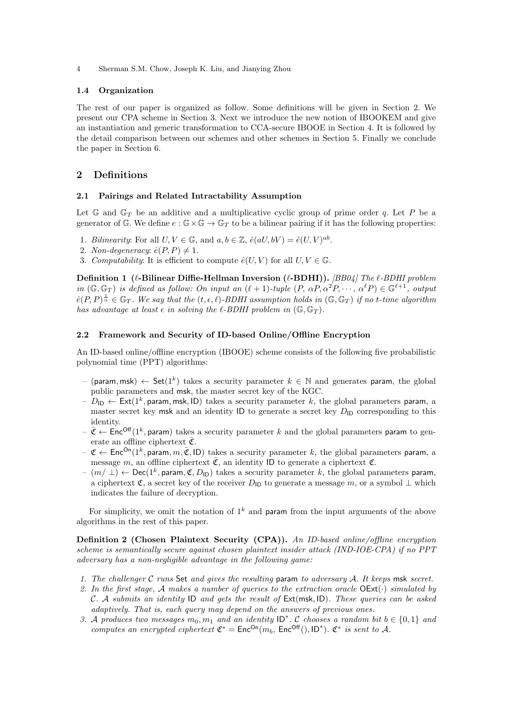### 1.4 Organization

The rest of our paper is organized as follow. Some definitions will be given in Section 2. We present our CPA scheme in Section 3. Next we introduce the new notion of IBOOKEM and give an instantiation and generic transformation to CCA-secure IBOOE in Section 4. It is followed by the detail comparison between our schemes and other schemes in Section 5. Finally we conclude the paper in Section 6.

## 2 Definitions

#### 2.1 Pairings and Related Intractability Assumption

Let  $\mathbb{G}$  and  $\mathbb{G}_T$  be an additive and a multiplicative cyclic group of prime order q. Let P be a generator of G. We define  $e : \mathbb{G} \times \mathbb{G} \to \mathbb{G}_T$  to be a bilinear pairing if it has the following properties:

- 1. Bilinearity: For all  $U, V \in \mathbb{G}$ , and  $a, b \in \mathbb{Z}$ ,  $\hat{e}(aU, bV) = \hat{e}(U, V)^{ab}$ .
- 2. Non-degeneracy:  $\hat{e}(P, P) \neq 1$ .
- 3. Computability: It is efficient to compute  $\hat{e}(U, V)$  for all  $U, V \in \mathbb{G}$ .

Definition 1 ( $\ell$ -Bilinear Diffie-Hellman Inversion ( $\ell$ -BDHI)). [BB04] The  $\ell$ -BDHI problem in  $(\mathbb{G}, \mathbb{G}_T)$  is defined as follow: On input an  $(\ell + 1)$ -tuple  $(P, \alpha P, \alpha^2 P, \dots, \alpha^{\ell} P) \in \mathbb{G}^{\ell+1}$ , output  $\hat{e}(P,P)^{\frac{1}{\alpha}} \in \mathbb{G}_T$ . We say that the  $(t,\epsilon,\ell)$ -BDHI assumption holds in  $(\mathbb{G},\mathbb{G}_T)$  if no t-time algorithm has advantage at least  $\epsilon$  in solving the  $\ell$ -BDHI problem in  $(\mathbb{G}, \mathbb{G}_T)$ .

#### 2.2 Framework and Security of ID-based Online/Offline Encryption

An ID-based online/offline encryption (IBOOE) scheme consists of the following five probabilistic polynomial time (PPT) algorithms:

- (param, msk)  $\leftarrow$  Set(1<sup>k</sup>) takes a security parameter  $k \in \mathbb{N}$  and generates param, the global public parameters and msk, the master secret key of the KGC.
- $D_{\mathsf{ID}} \leftarrow \mathsf{Ext}(1^k, \mathsf{param}, \mathsf{msk}, \mathsf{ID})$  takes a security parameter  $k,$  the global parameters param, a master secret key msk and an identity ID to generate a secret key  $D_{\text{ID}}$  corresponding to this identity.
- $-\bar{\mathfrak{C}} \leftarrow \textsf{Enc}^{\textsf{Off}}(1^k, \textsf{param})$  takes a security parameter k and the global parameters param to generate an offline ciphertext  $\bar{\mathfrak{C}}$ .
- $\mathfrak{C}$   $\leftarrow$  Enc<sup>On</sup>(1<sup>k</sup>, param, m,  $\overline{\mathfrak{C}}$ , ID) takes a security parameter k, the global parameters param, a message m, an offline ciphertext  $\overline{\mathfrak{C}}$ , an identity ID to generate a ciphertext  $\mathfrak{C}$ .
- $(- (m/\perp) \leftarrow \mathsf{Dec}(1^k, \mathsf{param}, \mathfrak{C}, D_{\mathsf{ID}})$  takes a security parameter k, the global parameters param, a ciphertext C, a secret key of the receiver  $D_{\text{ID}}$  to generate a message m, or a symbol  $\perp$  which indicates the failure of decryption.

For simplicity, we omit the notation of  $1^k$  and param from the input arguments of the above algorithms in the rest of this paper.

Definition 2 (Chosen Plaintext Security (CPA)). An ID-based online/offline encryption scheme is semantically secure against chosen plaintext insider attack (IND-IOE-CPA) if no PPT adversary has a non-negligible advantage in the following game:

- 1. The challenger C runs Set and gives the resulting param to adversary A. It keeps msk secret.
- 2. In the first stage, A makes a number of queries to the extraction oracle  $OExt(\cdot)$  simulated by C. A submits an identity ID and gets the result of  $Ext(msk, ID)$ . These queries can be asked adaptively. That is, each query may depend on the answers of previous ones.
- 3. A produces two messages  $m_0, m_1$  and an identity  $ID^*$ . C chooses a random bit  $b \in \{0, 1\}$  and computes an encrypted ciphertext  $\mathfrak{C}^* = \text{Enc}^{On}(m_b, \text{Enc}^{Off}(), \text{ID}^*).$   $\mathfrak{C}^*$  is sent to A.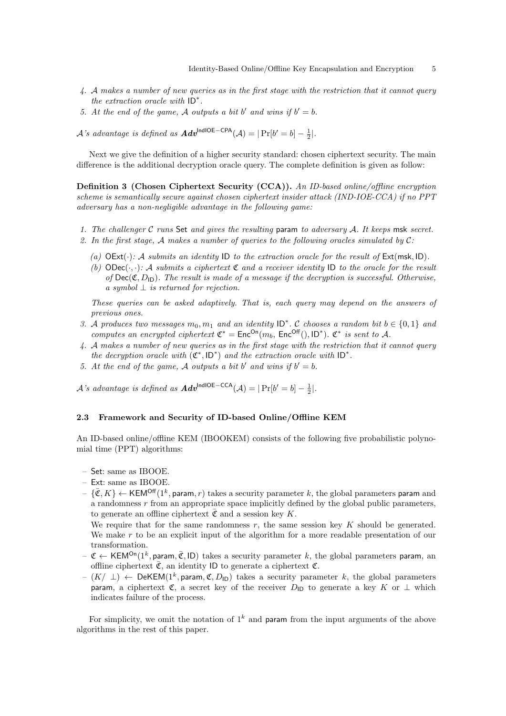- 4. A makes a number of new queries as in the first stage with the restriction that it cannot query the extraction oracle with ID<sup>∗</sup> .
- 5. At the end of the game, A outputs a bit b' and wins if  $b' = b$ .

 $\mathcal{A}$ 's advantage is defined as  $\boldsymbol{A} d\boldsymbol{v}^{\text{IndICE-CPA}}(\mathcal{A}) = |\Pr[b' = b] - \frac{1}{2}|.$ 

Next we give the definition of a higher security standard: chosen ciphertext security. The main difference is the additional decryption oracle query. The complete definition is given as follow:

Definition 3 (Chosen Ciphertext Security (CCA)). An ID-based online/offline encryption scheme is semantically secure against chosen ciphertext insider attack (IND-IOE-CCA) if no PPT adversary has a non-negligible advantage in the following game:

- 1. The challenger  $C$  runs Set and gives the resulting param to adversary  $A$ . It keeps msk secret.
- 2. In the first stage, A makes a number of queries to the following oracles simulated by  $\mathcal{C}$ :
	- (a)  $OExt(\cdot)$ : A submits an identity ID to the extraction oracle for the result of  $Ext(msk, ID)$ .
	- (b)  $\text{Obect}(\cdot, \cdot)$ : A submits a ciphertext  $\mathfrak C$  and a receiver identity ID to the oracle for the result of  $\text{Dec}(\mathfrak{C}, D_{\mathsf{ID}})$ . The result is made of a message if the decryption is successful. Otherwise, a symbol  $\perp$  is returned for rejection.

These queries can be asked adaptively. That is, each query may depend on the answers of previous ones.

- 3. A produces two messages  $m_0, m_1$  and an identity  $ID^*$ . C chooses a random bit  $b \in \{0, 1\}$  and computes an encrypted ciphertext  $\mathfrak{C}^* = \text{Enc}^{On}(m_b, \text{Enc}^{Off}(), \text{ID}^*).$   $\mathfrak{C}^*$  is sent to A.
- 4. A makes a number of new queries as in the first stage with the restriction that it cannot query the decryption oracle with  $(\mathfrak{C}^*, \mathsf{ID}^*)$  and the extraction oracle with  $\mathsf{ID}^*$ .
- 5. At the end of the game, A outputs a bit b' and wins if  $b' = b$ .

 $\mathcal{A}$ 's advantage is defined as  $\boldsymbol{Adv}^{\text{IndICE-CCA}}(\mathcal{A}) = |\Pr[b'=b] - \frac{1}{2}|.$ 

## 2.3 Framework and Security of ID-based Online/Offline KEM

An ID-based online/offline KEM (IBOOKEM) consists of the following five probabilistic polynomial time (PPT) algorithms:

- Set: same as IBOOE.
- Ext: same as IBOOE.
- $\{\bar{\mathfrak{C}}, K\} \leftarrow \mathsf{KEM}^{\mathsf{Off}}(1^k, \mathsf{param}, r)$  takes a security parameter k, the global parameters param and a randomness r from an appropriate space implicitly defined by the global public parameters, to generate an offline ciphertext  $\bar{\mathfrak{C}}$  and a session key K.

We require that for the same randomness  $r$ , the same session key  $K$  should be generated. We make  $r$  to be an explicit input of the algorithm for a more readable presentation of our transformation.

- $-$  C  $\leftarrow$  KEM<sup>On</sup>(1<sup>k</sup>, param,  $\overline{C}$ , ID) takes a security parameter k, the global parameters param, an offline ciphertext  $\bar{\mathfrak{C}}$ , an identity ID to generate a ciphertext  $\mathfrak{C}$ .
- $-$  (K/ ⊥)  $\leftarrow$  DeKEM(1<sup>k</sup>, param, C, D<sub>ID</sub>) takes a security parameter k, the global parameters param, a ciphertext  $\mathfrak{C}$ , a secret key of the receiver  $D_{\vert D}$  to generate a key K or  $\bot$  which indicates failure of the process.

For simplicity, we omit the notation of  $1^k$  and param from the input arguments of the above algorithms in the rest of this paper.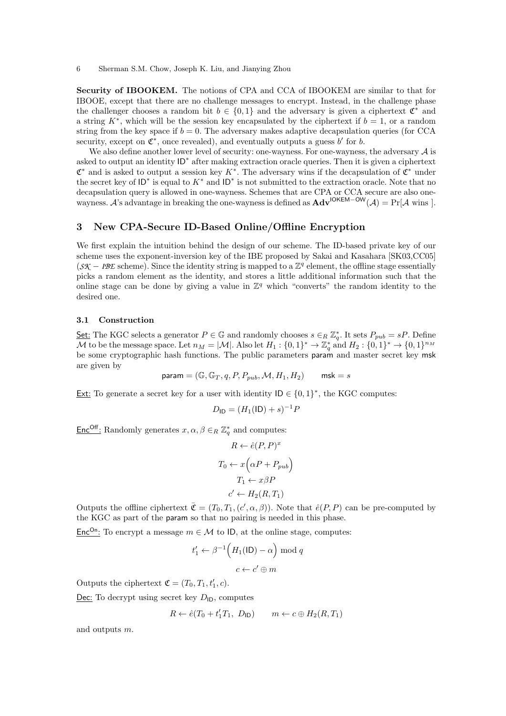Security of IBOOKEM. The notions of CPA and CCA of IBOOKEM are similar to that for IBOOE, except that there are no challenge messages to encrypt. Instead, in the challenge phase the challenger chooses a random bit  $b \in \{0,1\}$  and the adversary is given a ciphertext  $\mathfrak{C}^*$  and a string  $K^*$ , which will be the session key encapsulated by the ciphertext if  $b = 1$ , or a random string from the key space if  $b = 0$ . The adversary makes adaptive decapsulation queries (for CCA security, except on  $\mathfrak{C}^*$ , once revealed), and eventually outputs a guess b' for b.

We also define another lower level of security: one-wayness. For one-wayness, the adversary  $A$  is asked to output an identity ID<sup>∗</sup> after making extraction oracle queries. Then it is given a ciphertext  $\mathfrak{C}^*$  and is asked to output a session key K<sup>\*</sup>. The adversary wins if the decapsulation of  $\mathfrak{C}^*$  under the secret key of  $ID^*$  is equal to  $K^*$  and  $ID^*$  is not submitted to the extraction oracle. Note that no decapsulation query is allowed in one-wayness. Schemes that are CPA or CCA secure are also onewayness. A's advantage in breaking the one-wayness is defined as  $\mathbf{Adv}^{\mathsf{IOKEM-OW}}(\mathcal{A}) = \Pr[\mathcal{A} \text{ wins } ]$ .

## 3 New CPA-Secure ID-Based Online/Offline Encryption

We first explain the intuition behind the design of our scheme. The ID-based private key of our scheme uses the exponent-inversion key of the IBE proposed by Sakai and Kasahara [SK03,CC05]  $(SK - IBE \simeq S)$ . Since the identity string is mapped to a  $\mathbb{Z}^q$  element, the offline stage essentially picks a random element as the identity, and stores a little additional information such that the online stage can be done by giving a value in  $\mathbb{Z}^q$  which "converts" the random identity to the desired one.

## 3.1 Construction

Set: The KGC selects a generator  $P \in \mathbb{G}$  and randomly chooses  $s \in_R \mathbb{Z}_q^*$ . It sets  $P_{pub} = sP$ . Define M to be the message space. Let  $n_M = |\mathcal{M}|$ . Also let  $H_1: \{0,1\}^* \to \mathbb{Z}_q^*$  and  $H_2: \{0,1\}^* \to \{0,1\}^{n_M}$ be some cryptographic hash functions. The public parameters param and master secret key msk are given by

$$
\text{param} = (\mathbb{G}, \mathbb{G}_T, q, P, P_{pub}, \mathcal{M}, H_1, H_2) \qquad \text{msk} = s
$$

Ext: To generate a secret key for a user with identity  $ID \in \{0,1\}^*$ , the KGC computes:

$$
D_{\mathsf{ID}} = (H_1(\mathsf{ID}) + s)^{-1} P
$$

**Enc<sup>Off</sup>**: Randomly generates  $x, \alpha, \beta \in_R \mathbb{Z}_q^*$  and computes:

$$
R \leftarrow \hat{e}(P, P)^{x}
$$

$$
T_0 \leftarrow x\left(\alpha P + P_{pub}\right)
$$

$$
T_1 \leftarrow x\beta P
$$

$$
c' \leftarrow H_2(R, T_1)
$$

Outputs the offline ciphertext  $\bar{\mathfrak{C}} = (T_0, T_1, (c', \alpha, \beta))$ . Note that  $\hat{e}(P, P)$  can be pre-computed by the KGC as part of the param so that no pairing is needed in this phase.

Enc<sup>On</sup>: To encrypt a message  $m \in \mathcal{M}$  to ID, at the online stage, computes:

$$
t'_1 \leftarrow \beta^{-1} \Big( H_1(\mathsf{ID}) - \alpha \Big) \bmod q
$$

$$
c \leftarrow c' \oplus m
$$

Outputs the ciphertext  $\mathfrak{C} = (T_0, T_1, t'_1, c)$ .

Dec: To decrypt using secret key  $D_{\text{ID}}$ , computes

$$
R \leftarrow \hat{e}(T_0 + t'_1 T_1, D_{\mathsf{ID}}) \qquad m \leftarrow c \oplus H_2(R, T_1)
$$

and outputs m.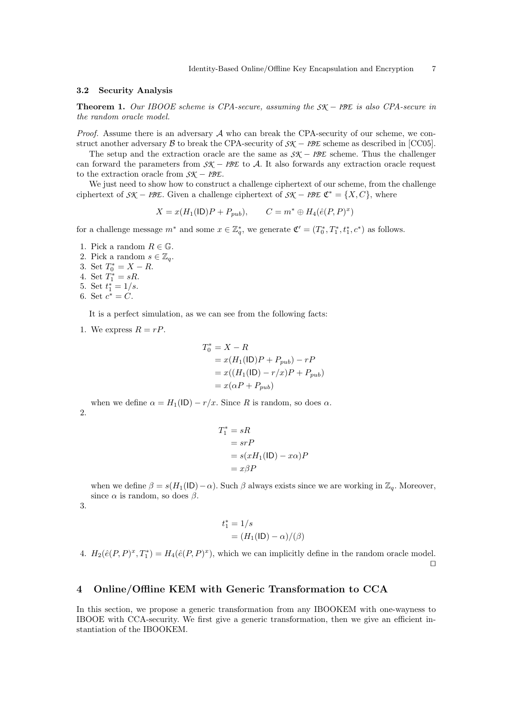#### 3.2 Security Analysis

Theorem 1. Our IBOOE scheme is CPA-secure, assuming the *SK* − *IBE* is also CPA-secure in the random oracle model.

*Proof.* Assume there is an adversary  $A$  who can break the CPA-security of our scheme, we construct another adversary  $\beta$  to break the CPA-security of  $S\mathcal{K} - I\mathcal{B}\mathcal{E}$  scheme as described in [CC05].

The setup and the extraction oracle are the same as *SK* − *IBE* scheme. Thus the challenger can forward the parameters from *SK* − *IBE* to A. It also forwards any extraction oracle request to the extraction oracle from *SK* − *IBE*.

We just need to show how to construct a challenge ciphertext of our scheme, from the challenge ciphertext of  $\mathcal{SK} - \mathcal{IBE}$ . Given a challenge ciphertext of  $\mathcal{SK} - \mathcal{IBE} \mathfrak{C}^* = \{X, C\}$ , where

$$
X = x(H_1(\mathsf{ID})P + P_{pub}), \qquad C = m^* \oplus H_4(\hat{e}(P, P)^x)
$$

for a challenge message  $m^*$  and some  $x \in \mathbb{Z}_q^*$ , we generate  $\mathfrak{C}' = (T_0^*, T_1^*, t_1^*, c^*)$  as follows.

- 1. Pick a random  $R \in \mathbb{G}$ .
- 2. Pick a random  $s \in \mathbb{Z}_q$ . 3. Set  $T_0^* = X - R$ . 4. Set  $\tilde{T}_1^* = sR$ .
- 5. Set  $t_1^* = 1/s$ .
- 6. Set  $c^* = C$ .

It is a perfect simulation, as we can see from the following facts:

1. We express  $R = rP$ .

$$
T_0^* = X - R
$$
  
=  $x(H_1(\text{ID})P + P_{pub}) - rP$   
=  $x((H_1(\text{ID}) - r/x)P + P_{pub})$   
=  $x(\alpha P + P_{pub})$ 

when we define  $\alpha = H_1(\mathsf{ID}) - r/x$ . Since R is random, so does  $\alpha$ . 2.

$$
T_1^* = sR
$$
  
= srP  
= s(xH<sub>1</sub>(ID) - x $\alpha$ )P  
= x $\beta$ P

when we define  $\beta = s(H_1(|D)-\alpha)$ . Such  $\beta$  always exists since we are working in  $\mathbb{Z}_q$ . Moreover, since  $\alpha$  is random, so does  $\beta$ .

3.

$$
t_1^* = 1/s
$$
  
=  $(H_1(\text{ID}) - \alpha)/(\beta)$ 

4.  $H_2(\hat{e}(P, P)^x, T_1^*) = H_4(\hat{e}(P, P)^x)$ , which we can implicitly define in the random oracle model.  $\Box$ 

## 4 Online/Offline KEM with Generic Transformation to CCA

In this section, we propose a generic transformation from any IBOOKEM with one-wayness to IBOOE with CCA-security. We first give a generic transformation, then we give an efficient instantiation of the IBOOKEM.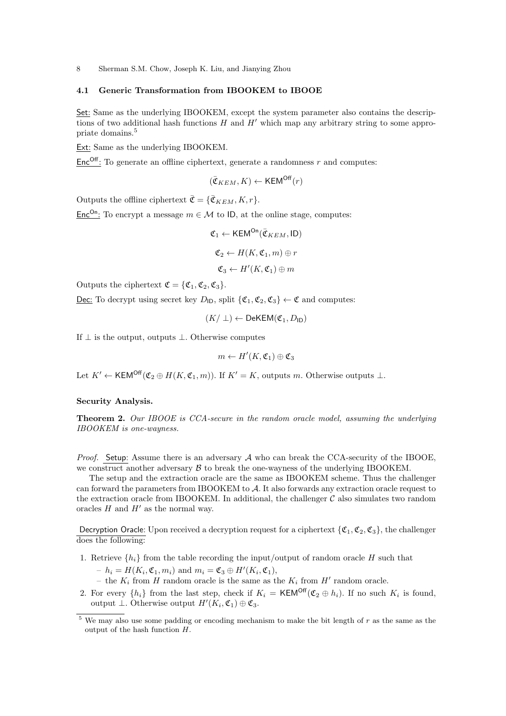## 4.1 Generic Transformation from IBOOKEM to IBOOE

Set: Same as the underlying IBOOKEM, except the system parameter also contains the descriptions of two additional hash functions  $H$  and  $H'$  which map any arbitrary string to some appropriate domains.<sup>5</sup>

Ext: Same as the underlying IBOOKEM.

 $Enc^{Off}$ : To generate an offline ciphertext, generate a randomness r and computes:

$$
(\bar{\mathfrak{C}}_{KEM}, K) \leftarrow \mathsf{KEM}^{\mathsf{Off}}(r)
$$

Outputs the offline ciphertext  $\bar{\mathfrak{C}} = {\bar{\mathfrak{C}}_{KEM}, K, r}.$ 

Enc<sup>On</sup>: To encrypt a message  $m \in \mathcal{M}$  to ID, at the online stage, computes:

$$
\mathfrak{C}_1 \leftarrow \mathsf{KEM}^{\mathsf{On}}(\bar{\mathfrak{C}}_{KEM}, \mathsf{ID})
$$

$$
\mathfrak{C}_2 \leftarrow H(K, \mathfrak{C}_1, m) \oplus r
$$

$$
\mathfrak{C}_3 \leftarrow H'(K, \mathfrak{C}_1) \oplus m
$$

Outputs the ciphertext  $\mathfrak{C} = \{ \mathfrak{C}_1, \mathfrak{C}_2, \mathfrak{C}_3 \}.$ 

Dec: To decrypt using secret key  $D_{\text{ID}}$ , split  $\{\mathfrak{C}_1, \mathfrak{C}_2, \mathfrak{C}_3\} \leftarrow \mathfrak{C}$  and computes:

$$
(K/\perp)\leftarrow\mathsf{DeKEM}(\mathfrak{C}_1,D_{\mathsf{ID}})
$$

If  $\perp$  is the output, outputs  $\perp$ . Otherwise computes

$$
m \leftarrow H'(K,{\mathfrak C}_1) \oplus {\mathfrak C}_3
$$

Let  $K' \leftarrow \text{KEM}^{\text{Off}}(\mathfrak{C}_2 \oplus H(K, \mathfrak{C}_1, m))$ . If  $K' = K$ , outputs m. Otherwise outputs  $\perp$ .

#### Security Analysis.

Theorem 2. Our IBOOE is CCA-secure in the random oracle model, assuming the underlying IBOOKEM is one-wayness.

*Proof.* Setup: Assume there is an adversary  $\mathcal A$  who can break the CCA-security of the IBOOE, we construct another adversary  $\beta$  to break the one-wayness of the underlying IBOOKEM.

The setup and the extraction oracle are the same as IBOOKEM scheme. Thus the challenger can forward the parameters from IBOOKEM to A. It also forwards any extraction oracle request to the extraction oracle from IBOOKEM. In additional, the challenger  $\mathcal C$  also simulates two random oracles  $H$  and  $H'$  as the normal way.

Decryption Oracle: Upon received a decryption request for a ciphertext  $\{\mathfrak{C}_1, \mathfrak{C}_2, \mathfrak{C}_3\}$ , the challenger does the following:

- 1. Retrieve  $\{h_i\}$  from the table recording the input/output of random oracle H such that
	- $h_i = H(K_i, \mathfrak{C}_1, m_i)$  and  $m_i = \mathfrak{C}_3 \oplus H'(K_i, \mathfrak{C}_1)$ ,
	- the  $K_i$  from H random oracle is the same as the  $K_i$  from H' random oracle.
- 2. For every  $\{h_i\}$  from the last step, check if  $K_i = \mathsf{KEM}^{\mathsf{Off}}(\mathfrak{C}_2 \oplus h_i)$ . If no such  $K_i$  is found, output  $\perp$ . Otherwise output  $H'(K_i, \mathfrak{C}_1) \oplus \mathfrak{C}_3$ .

 $5$  We may also use some padding or encoding mechanism to make the bit length of  $r$  as the same as the output of the hash function H.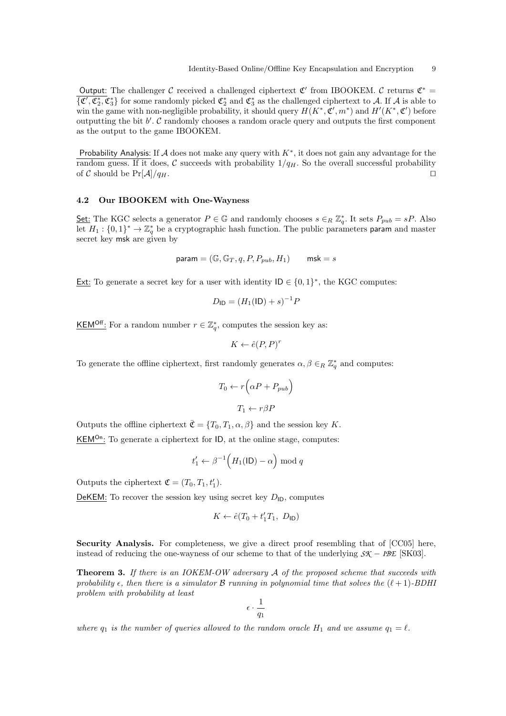Output: The challenger  $\mathcal C$  received a challenged ciphertext  $\mathfrak C'$  from IBOOKEM.  $\mathcal C$  returns  $\mathfrak C^*$  =  $\{\overline{\mathfrak{C}', \mathfrak{C}_2^*, \mathfrak{C}_3^*\}}$  for some randomly picked  $\mathfrak{C}_2^*$  and  $\mathfrak{C}_3^*$  as the challenged ciphertext to A. If A is able to win the game with non-negligible probability, it should query  $H(K^*, \mathfrak{C}', m^*)$  and  $H'(K^*, \mathfrak{C}')$  before outputting the bit  $b'$ .  $C$  randomly chooses a random oracle query and outputs the first component as the output to the game IBOOKEM.

Probability Analysis: If  $A$  does not make any query with  $K^*$ , it does not gain any advantage for the random guess. If it does, C succeeds with probability  $1/q_H$ . So the overall successful probability of C should be  $Pr[\mathcal{A}]/q_H$ .

## 4.2 Our IBOOKEM with One-Wayness

Set: The KGC selects a generator  $P \in \mathbb{G}$  and randomly chooses  $s \in_R \mathbb{Z}_q^*$ . It sets  $P_{pub} = sP$ . Also let  $H_1: \{0,1\}^* \to \mathbb{Z}_q^*$  be a cryptographic hash function. The public parameters param and master secret key msk are given by

$$
\text{param} = (\mathbb{G}, \mathbb{G}_T, q, P, P_{pub}, H_1) \qquad \text{msk} = s
$$

**Ext:** To generate a secret key for a user with identity  $ID \in \{0, 1\}^*$ , the KGC computes:

$$
D_{\mathsf{ID}} = (H_1(\mathsf{ID}) + s)^{-1} P
$$

KEM<sup>Off</sup>: For a random number  $r \in \mathbb{Z}_q^*$ , computes the session key as:

$$
K \leftarrow \hat{e}(P, P)^r
$$

To generate the offline ciphertext, first randomly generates  $\alpha, \beta \in_R \mathbb{Z}_q^*$  and computes:

$$
T_0 \leftarrow r \left( \alpha P + P_{pub} \right)
$$

$$
T_1 \leftarrow r \beta P
$$

Outputs the offline ciphertext  $\bar{\mathfrak{C}} = \{T_0, T_1, \alpha, \beta\}$  and the session key K.

 $KEM^{0n}$ : To generate a ciphertext for ID, at the online stage, computes:

$$
t'_1 \leftarrow \beta^{-1}\Big(H_1(\mathsf{ID}) - \alpha\Big) \bmod q
$$

Outputs the ciphertext  $\mathfrak{C} = (T_0, T_1, t'_1)$ .

DeKEM: To recover the session key using secret key  $D_{\text{ID}}$ , computes

$$
K \leftarrow \hat{e}(T_0 + t_1' T_1, D_{\mathsf{ID}})
$$

Security Analysis. For completeness, we give a direct proof resembling that of [CC05] here, instead of reducing the one-wayness of our scheme to that of the underlying *SK* − *IBE* [SK03].

Theorem 3. If there is an IOKEM-OW adversary A of the proposed scheme that succeeds with probability  $\epsilon$ , then there is a simulator B running in polynomial time that solves the  $(\ell + 1)$ -BDHI problem with probability at least

$$
\epsilon \cdot \frac{1}{q_1}
$$

where  $q_1$  is the number of queries allowed to the random oracle  $H_1$  and we assume  $q_1 = \ell$ .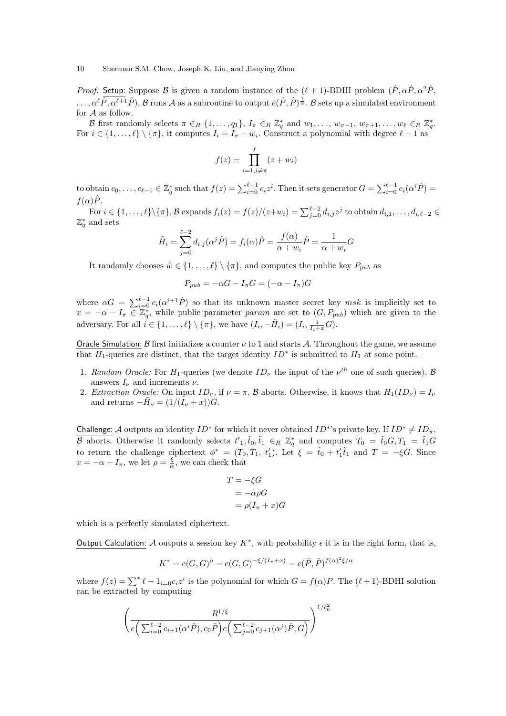*Proof.* Setup: Suppose B is given a random instance of the  $(\ell + 1)$ -BDHI problem  $(\hat{P}, \alpha \hat{P}, \alpha^2 \hat{P}, \alpha^3 \hat{P})$  $\ldots, \alpha^{\ell} \hat{P}, \alpha^{\ell+1} \hat{P}$ ),  $\mathcal{B}$  runs  $\mathcal{A}$  as a subroutine to output  $e(\hat{P}, \hat{P})^{\frac{1}{\alpha}}$ .  $\mathcal{B}$  sets up a simulated environment for  ${\mathcal A}$  as follow.

B first randomly selects  $\pi \in_R \{1, \ldots, q_1\}$ ,  $I_{\pi} \in_R \mathbb{Z}_q^*$  and  $w_1, \ldots, w_{\pi-1}, w_{\pi+1}, \ldots, w_{\ell} \in_R \mathbb{Z}_q^*$ . For  $i \in \{1, ..., \ell\} \setminus \{\pi\}$ , it computes  $I_i = I_{\pi} - w_i$ . Construct a polynomial with degree  $\ell - 1$  as

$$
f(z) = \prod_{i=1, i \neq \pi}^{\ell} (z + w_i)
$$

to obtain  $c_0, \ldots, c_{\ell-1} \in \mathbb{Z}_q^*$  such that  $f(z) = \sum_{i=0}^{\ell-1} c_i z^i$ . Then it sets generator  $G = \sum_{i=0}^{\ell-1} c_i (\alpha^i \hat{P}) =$  $f(\alpha)\hat{P}$ .

For  $i \in \{1, \ldots, \ell\} \setminus {\{\pi\}}, \mathcal{B}$  expands  $f_i(z) = f(z)/(z+w_i) = \sum_{j=0}^{\ell-2} d_{i,j} z^j$  to obtain  $d_{i,1}, \ldots, d_{i,\ell-2} \in$  $\mathbb{Z}_q^*$  and sets

$$
\tilde{H}_i = \sum_{j=0}^{\ell-2} d_{i,j}(\alpha^j \hat{P}) = f_i(\alpha) \hat{P} = \frac{f(\alpha)}{\alpha + w_i} \hat{P} = \frac{1}{\alpha + w_i} G
$$

It randomly chooses  $\hat{w} \in \{1, ..., \ell\} \setminus \{\pi\}$ , and computes the public key  $P_{pub}$  as

$$
P_{pub} = -\alpha G - I_{\pi} G = (-\alpha - I_{\pi})G
$$

where  $\alpha G = \sum_{i=0}^{\ell-1} c_i(\alpha^{i+1}\hat{P})$  so that its unknown master secret key msk is implicitly set to  $x = -\alpha - I_{\pi} \in \mathbb{Z}_{q}^{*}$ , while public parameter param are set to  $(G, P_{pub})$  which are given to the adversary. For all  $i \in \{1, ..., \ell\} \setminus \{\pi\}$ , we have  $(I_i, -\tilde{H}_i) = (I_i, \frac{1}{I_i + x}G)$ .

Oracle Simulation: B first initializes a counter  $\nu$  to 1 and starts A. Throughout the game, we assume that  $H_1$ -queries are distinct, that the target identity  $ID^*$  is submitted to  $H_1$  at some point.

- 1. Random Oracle: For H<sub>1</sub>-queries (we denote  $ID_{\nu}$  the input of the  $\nu^{th}$  one of such queries), B answers  $I_{\nu}$  and increments  $\nu$ .
- 2. Extraction Oracle: On input  $ID_{\nu}$ , if  $\nu = \pi$ , B aborts. Otherwise, it knows that  $H_1(ID_{\nu}) = I_{\nu}$ and returns  $-\tilde{H}_{\nu} = (1/(\tilde{I}_{\nu} + x))G$ .

Challenge: A outputs an identity  $ID^*$  for which it never obtained  $ID^*$ 's private key. If  $ID^* \neq ID_\pi$ , B aborts. Otherwise it randomly selects  $t'_{1}$ ,  $\tilde{t}_{0}$ ,  $\tilde{t}_{1} \in R \ \mathbb{Z}_{q}^{*}$  and computes  $T_{0} = \tilde{t}_{0}G$ ,  $T_{1} = \tilde{t}_{1}G$ to return the challenge ciphertext  $\phi^* = (T_0, T_1, t'_1)$ . Let  $\xi = \tilde{t}_0 + t'_1 \tilde{t}_1$  and  $T = -\xi G$ . Since  $x = -\alpha - I_{\pi}$ , we let  $\rho = \frac{\xi}{\alpha}$ , we can check that

$$
T = -\xi G
$$
  
=  $-\alpha \rho G$   
=  $\rho (I_{\pi} + x)G$ 

which is a perfectly simulated ciphertext.

Output Calculation: A outputs a session key  $K^*$ , with probability  $\epsilon$  it is in the right form, that is,

$$
K^* = e(G, G)^{\rho} = e(G, G)^{-\xi/(I_{\pi} + x)} = e(\hat{P}, \hat{P})^{f(\alpha)^2 \xi/\alpha}
$$

where  $f(z) = \sum^* \ell - 1_{i=0} c_i z^i$  is the polynomial for which  $G = f(\alpha)P$ . The  $(\ell + 1)$ -BDHI solution can be extracted by computing

$$
\left(\frac{R^{1/\xi}}{e\left(\sum_{i=0}^{\ell-2}c_{i+1}(\alpha^{i}\hat{P}),c_{0}\hat{P}\right)e\left(\sum_{j=0}^{\ell-2}c_{j+1}(\alpha^{j})\hat{P},G\right)}\right)^{1/c_{0}^{2}}
$$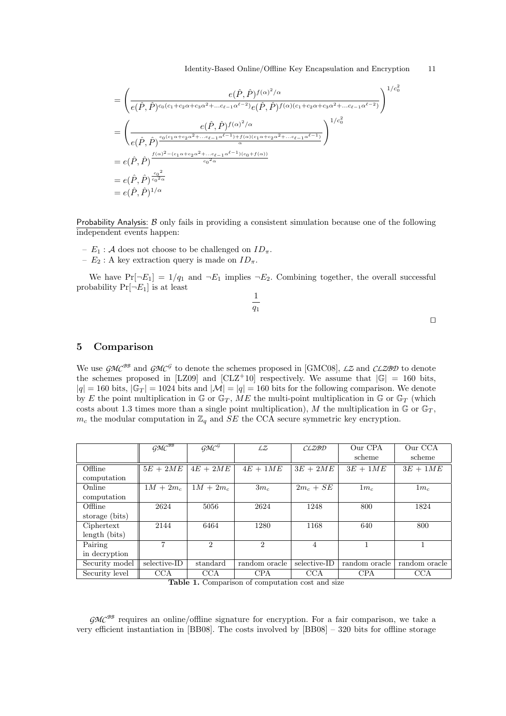$$
= \left(\frac{e(\hat{P}, \hat{P})^{f(\alpha)^2/\alpha}}{e(\hat{P}, \hat{P})^{c_0(c_1+c_2\alpha+c_3\alpha^2+\dots c_{\ell-1}\alpha^{\ell-2})}e(\hat{P}, \hat{P})^{f(\alpha)(c_1+c_2\alpha+c_3\alpha^2+\dots c_{\ell-1}\alpha^{\ell-2})}}\right)^{1/c_0^2}
$$
  
\n
$$
= \left(\frac{e(\hat{P}, \hat{P})^{f(\alpha)^2/\alpha}}{e(\hat{P}, \hat{P})^{\frac{c_0(c_1\alpha+c_2\alpha^2+\dots c_{\ell-1}\alpha^{\ell-1})+f(\alpha)(c_1\alpha+c_2\alpha^2+\dots c_{\ell-1}\alpha^{\ell-1})}{\alpha}}}\right)^{1/c_0^2}
$$
  
\n
$$
= e(\hat{P}, \hat{P})^{\frac{c_0^2}{c_0^2\alpha}}
$$
  
\n
$$
= e(\hat{P}, \hat{P})^{\frac{c_0^2}{c_0^2\alpha}}
$$
  
\n
$$
= e(\hat{P}, \hat{P})^{1/\alpha}
$$

Probability Analysis:  $\beta$  only fails in providing a consistent simulation because one of the following independent events happen:

- $E_1$ : A does not choose to be challenged on  $ID_{\pi}$ .
- $E_2$ : A key extraction query is made on  $ID_{\pi}$ .

We have  $Pr[\neg E_1] = 1/q_1$  and  $\neg E_1$  implies  $\neg E_2$ . Combining together, the overall successful probability  $Pr[\neg E_1]$  is at least 1

 $q_1$ 

$$
f_{\rm{max}}
$$

|  | ۰ | ۰ |
|--|---|---|
|  |   |   |
|  |   |   |
|  |   |   |

# 5 Comparison

We use  $\mathcal{GMC}^{BB}$  and  $\mathcal{GMC}^G$  to denote the schemes proposed in [GMC08], *LZ* and *CLZBD* to denote the schemes proposed in [LZ09] and [CLZ+10] respectively. We assume that  $|\mathbb{G}| = 160$  bits,  $|q| = 160$  bits,  $|\mathbb{G}_T| = 1024$  bits and  $|\mathcal{M}| = |q| = 160$  bits for the following comparison. We denote by E the point multiplication in G or  $\mathbb{G}_T$ , ME the multi-point multiplication in G or  $\mathbb{G}_T$  (which costs about 1.3 times more than a single point multiplication), M the multiplication in  $\mathbb G$  or  $\mathbb G_T$ ,  $m_c$  the modular computation in  $\mathbb{Z}_q$  and SE the CCA secure symmetric key encryption.

|                | $\widetilde{\mathcal{GMC}}^{\overline{\mathcal{B}\mathcal{B}}}$ | GMC <sup>G</sup>            | LZ                   | CLZBD                | Our CPA       | Our CCA               |
|----------------|-----------------------------------------------------------------|-----------------------------|----------------------|----------------------|---------------|-----------------------|
|                |                                                                 |                             |                      |                      | scheme        | scheme                |
| Offline        | $5E + 2ME$                                                      | $4E + 2ME$                  | $4E + 1ME$           | $3E + 2ME$           | $3E + 1ME$    | $3E + 1\overline{ME}$ |
| computation    |                                                                 |                             |                      |                      |               |                       |
| Online         | $1M + 2m_c$                                                     | $1M + 2m_c$                 | $3m_c$               | $2m_c + SE$          | $1m_c$        | $1m_c$                |
| computation    |                                                                 |                             |                      |                      |               |                       |
| Offline        | 2624                                                            | 5056                        | 2624                 | 1248                 | 800           | 1824                  |
| storage (bits) |                                                                 |                             |                      |                      |               |                       |
| Ciphertext     | 2144                                                            | 6464                        | 1280                 | 1168                 | 640           | 800                   |
| length (bits)  |                                                                 |                             |                      |                      |               |                       |
| Pairing        | 7                                                               | $\mathcal{D}_{\mathcal{L}}$ | $\overline{2}$       | 4                    |               |                       |
| in decryption  |                                                                 |                             |                      |                      |               |                       |
| Security model | selective-ID                                                    | standard                    | random oracle        | selective-ID         | random oracle | random oracle         |
| Security level | CCA<br>-- - -                                                   | <b>CCA</b><br>$\sim$        | <b>CPA</b><br>$\sim$ | <b>CCA</b><br>$\sim$ | <b>CPA</b>    | <b>CCA</b>            |

Table 1. Comparison of computation cost and size

 $GMC^{BB}$  requires an online/offline signature for encryption. For a fair comparison, we take a very efficient instantiation in [BB08]. The costs involved by [BB08] – 320 bits for offline storage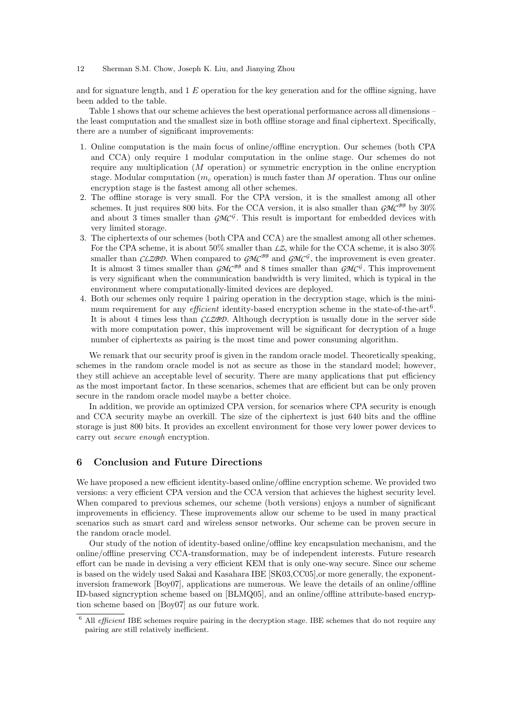and for signature length, and  $1 E$  operation for the key generation and for the offline signing, have been added to the table.

Table 1 shows that our scheme achieves the best operational performance across all dimensions – the least computation and the smallest size in both offline storage and final ciphertext. Specifically, there are a number of significant improvements:

- 1. Online computation is the main focus of online/offline encryption. Our schemes (both CPA and CCA) only require 1 modular computation in the online stage. Our schemes do not require any multiplication (M operation) or symmetric encryption in the online encryption stage. Modular computation  $(m_c \text{ operation})$  is much faster than M operation. Thus our online encryption stage is the fastest among all other schemes.
- 2. The offline storage is very small. For the CPA version, it is the smallest among all other schemes. It just requires 800 bits. For the CCA version, it is also smaller than  $GMC^{BB}$  by 30% and about 3 times smaller than  $\mathcal{GMC}$ <sup>G</sup>. This result is important for embedded devices with very limited storage.
- 3. The ciphertexts of our schemes (both CPA and CCA) are the smallest among all other schemes. For the CPA scheme, it is about 50% smaller than  $\mathcal{L}Z$ , while for the CCA scheme, it is also 30% smaller than *CLZBD*. When compared to  $\mathcal{GMC}^{BB}$  and  $\mathcal{GMC}^{\mathcal{G}},$  the improvement is even greater. It is almost 3 times smaller than  $\mathcal{GMC}^{BB}$  and 8 times smaller than  $\mathcal{GMC}^{\mathcal{G}}$ . This improvement is very significant when the communication bandwidth is very limited, which is typical in the environment where computationally-limited devices are deployed.
- 4. Both our schemes only require 1 pairing operation in the decryption stage, which is the minimum requirement for any *efficient* identity-based encryption scheme in the state-of-the-art<sup>6</sup>. It is about 4 times less than *CLZBD*. Although decryption is usually done in the server side with more computation power, this improvement will be significant for decryption of a huge number of ciphertexts as pairing is the most time and power consuming algorithm.

We remark that our security proof is given in the random oracle model. Theoretically speaking, schemes in the random oracle model is not as secure as those in the standard model; however, they still achieve an acceptable level of security. There are many applications that put efficiency as the most important factor. In these scenarios, schemes that are efficient but can be only proven secure in the random oracle model maybe a better choice.

In addition, we provide an optimized CPA version, for scenarios where CPA security is enough and CCA security maybe an overkill. The size of the ciphertext is just 640 bits and the offline storage is just 800 bits. It provides an excellent environment for those very lower power devices to carry out secure enough encryption.

## 6 Conclusion and Future Directions

We have proposed a new efficient identity-based online/offline encryption scheme. We provided two versions: a very efficient CPA version and the CCA version that achieves the highest security level. When compared to previous schemes, our scheme (both versions) enjoys a number of significant improvements in efficiency. These improvements allow our scheme to be used in many practical scenarios such as smart card and wireless sensor networks. Our scheme can be proven secure in the random oracle model.

Our study of the notion of identity-based online/offline key encapsulation mechanism, and the online/offline preserving CCA-transformation, may be of independent interests. Future research effort can be made in devising a very efficient KEM that is only one-way secure. Since our scheme is based on the widely used Sakai and Kasahara IBE [SK03,CC05],or more generally, the exponentinversion framework [Boy07], applications are numerous. We leave the details of an online/offline ID-based signcryption scheme based on [BLMQ05], and an online/offline attribute-based encryption scheme based on [Boy07] as our future work.

 $6$  All *efficient* IBE schemes require pairing in the decryption stage. IBE schemes that do not require any pairing are still relatively inefficient.